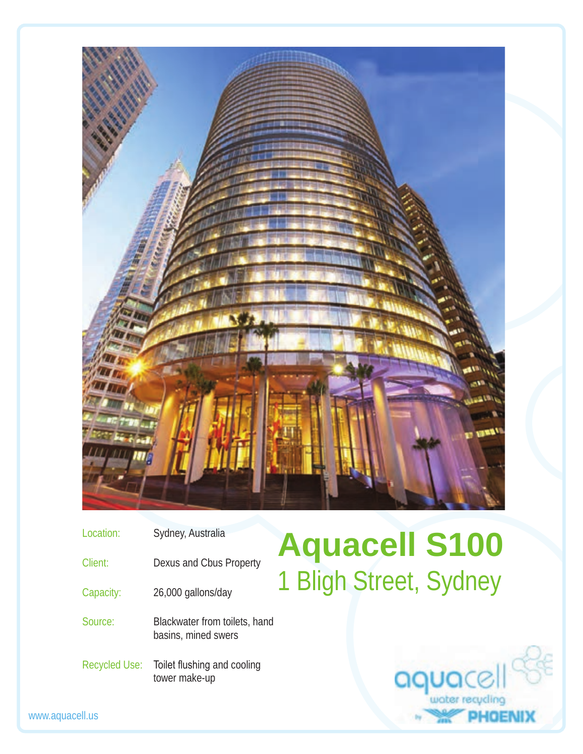

| Dexus and Cbus Property<br>Client:                              |  |
|-----------------------------------------------------------------|--|
| 26,000 gallons/day<br>Capacity:                                 |  |
| Blackwater from toilets, hand<br>Source:<br>basins, mined swers |  |

Recycled Use: Toilet flushing and cooling tower make-up

## **Aquacell S100 Iligh Street, Sydney**